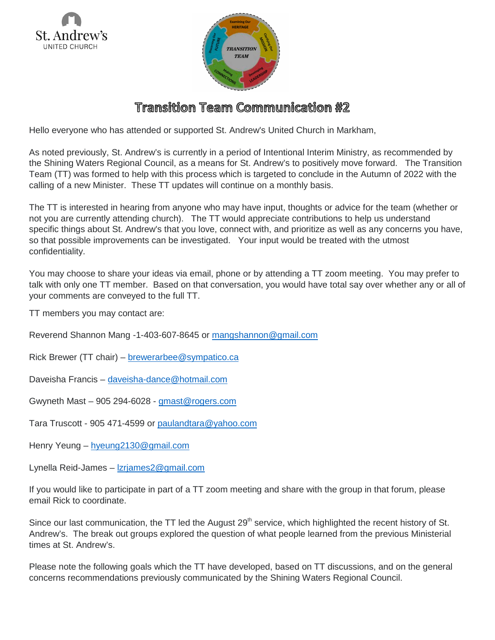



## Transition Team Communication #2

Hello everyone who has attended or supported St. Andrew's United Church in Markham,

As noted previously, St. Andrew's is currently in a period of Intentional Interim Ministry, as recommended by the Shining Waters Regional Council, as a means for St. Andrew's to positively move forward. The Transition Team (TT) was formed to help with this process which is targeted to conclude in the Autumn of 2022 with the calling of a new Minister. These TT updates will continue on a monthly basis.

The TT is interested in hearing from anyone who may have input, thoughts or advice for the team (whether or not you are currently attending church). The TT would appreciate contributions to help us understand specific things about St. Andrew's that you love, connect with, and prioritize as well as any concerns you have, so that possible improvements can be investigated. Your input would be treated with the utmost confidentiality.

You may choose to share your ideas via email, phone or by attending a TT zoom meeting. You may prefer to talk with only one TT member. Based on that conversation, you would have total say over whether any or all of your comments are conveyed to the full TT.

TT members you may contact are:

Reverend Shannon Mang -1-403-607-8645 or [mangshannon@gmail.com](mailto:mangshannon@gmail.com)

Rick Brewer (TT chair) – [brewerarbee@sympatico.ca](mailto:brewerarbee@sympatico.ca)

Daveisha Francis – [daveisha-dance@hotmail.com](mailto:daveisha-dance@hotmail.com)

Gwyneth Mast – 905 294-6028 - [gmast@rogers.com](mailto:gmast@rogers.com)

Tara Truscott - 905 471-4599 or [paulandtara@yahoo.com](mailto:paulandtara@yahoo.com)

Henry Yeung – [hyeung2130@gmail.com](mailto:hyeung2130@gmail.com)

Lynella Reid-James – [lzrjames2@gmail.com](mailto:lzrjames2@gmail.com)

If you would like to participate in part of a TT zoom meeting and share with the group in that forum, please email Rick to coordinate.

Since our last communication, the TT led the August 29<sup>th</sup> service, which highlighted the recent history of St. Andrew's. The break out groups explored the question of what people learned from the previous Ministerial times at St. Andrew's.

Please note the following goals which the TT have developed, based on TT discussions, and on the general concerns recommendations previously communicated by the Shining Waters Regional Council.